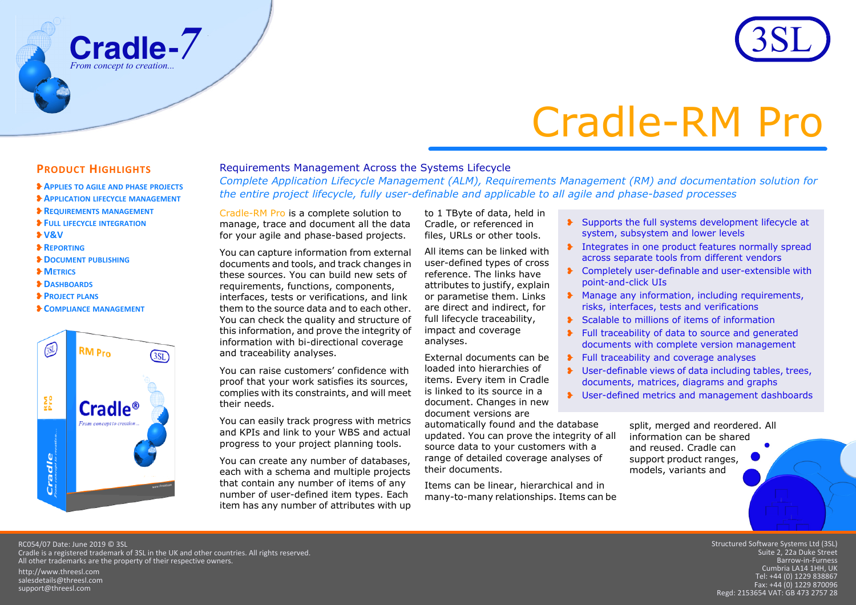

# Cradle-RM Pro

## **PRODUCT HIGHLIGHTS**

❥**APPLIES TO AGILE AND PHASE PROJECTS**

**Cradle** *From concept to creation...*

- ❥**APPLICATION LIFECYCLE MANAGEMENT**
- ❥**REQUIREMENTS MANAGEMENT**
- ❥**FULL LIFECYCLE INTEGRATION**
- ❥**V&V**
- ❥**REPORTING**
- ❥**DOCUMENT PUBLISHING**
- ❥**METRICS**
- ❥**DASHBOARDS**
- ❥**PROJECT PLANS**
- ❥**COMPLIANCE MANAGEMENT**



### Requirements Management Across the Systems Lifecycle

*Complete Application Lifecycle Management (ALM), Requirements Management (RM) and documentation solution for the entire project lifecycle, fully user-definable and applicable to all agile and phase-based processes*

Cradle-RM Pro is a complete solution to manage, trace and document all the data for your agile and phase-based projects.

You can capture information from external documents and tools, and track changes in these sources. You can build new sets of requirements, functions, components, interfaces, tests or verifications, and link them to the source data and to each other. You can check the quality and structure of this information, and prove the integrity of information with bi-directional coverage and traceability analyses.

You can raise customers' confidence with proof that your work satisfies its sources, complies with its constraints, and will meet their needs.

You can easily track progress with metrics and KPIs and link to your WBS and actual progress to your project planning tools.

You can create any number of databases, each with a schema and multiple projects that contain any number of items of any number of user-defined item types. Each item has any number of attributes with up

to 1 TByte of data, held in Cradle, or referenced in files, URLs or other tools.

All items can be linked with user-defined types of cross reference. The links have attributes to justify, explain or parametise them. Links are direct and indirect, for full lifecycle traceability, impact and coverage analyses.

External documents can be loaded into hierarchies of items. Every item in Cradle is linked to its source in a document. Changes in new document versions are

automatically found and the database updated. You can prove the integrity of all source data to your customers with a range of detailed coverage analyses of their documents.

Items can be linear, hierarchical and in many-to-many relationships. Items can be

❥ Supports the full systems development lifecycle at system, subsystem and lower levels

- **The Integrates in one product features normally spread** across separate tools from different vendors
- ❥ Completely user-definable and user-extensible with point-and-click UIs
- ❥ Manage any information, including requirements, risks, interfaces, tests and verifications
- ❥ Scalable to millions of items of information
- ❥ Full traceability of data to source and generated documents with complete version management
- ❥ Full traceability and coverage analyses
- ❥ User-definable views of data including tables, trees, documents, matrices, diagrams and graphs
- ❥ User-defined metrics and management dashboards

split, merged and reordered. All information can be shared and reused. Cradle can support product ranges, models, variants and

RC054/07 Date: June 2019 © 3SL Cradle is a registered trademark of 3SL in the UK and other countries. All rights reserved. All other trademarks are the property of their respective owners.

http://www.threesl.com salesdetails@threesl.com support@threesl.com

Structured Software Systems Ltd (3SL) Suite 2, 22a Duke Street Barrow‐in‐Furness Cumbria LA14 1HH, UK Tel: +44 (0) 1229 838867 Fax: +44 (0) 1229 870096 Regd: 2153654 VAT: GB 473 2757 28